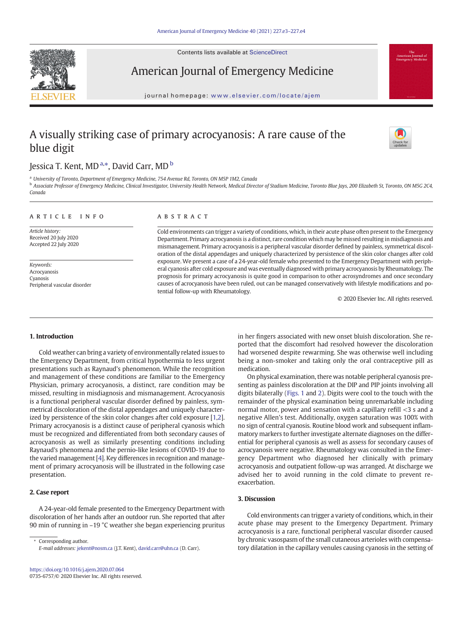Contents lists available at ScienceDirect



American Journal of Emergency Medicine

journal homepage: <www.elsevier.com/locate/ajem>

# A visually striking case of primary acrocyanosis: A rare cause of the blue digit



## Jessica T. Kent, MD <sup>a,</sup>\*, David Carr, MD <sup>b</sup>

<sup>a</sup> University of Toronto, Department of Emergency Medicine, 754 Avenue Rd, Toronto, ON M5P 1M2, Canada

**b** Associate Professor of Emergency Medicine, Clinical Investigator, University Health Network, Medical Director of Stadium Medicine, Toronto Blue Jays, 200 Elizabeth St, Toronto, ON M5G 2C4, Canada

#### article info abstract

Article history: Received 20 July 2020 Accepted 22 July 2020

Keywords: Acrocyanosis Cyanosis Peripheral vascular disorder

Cold environments can trigger a variety of conditions, which, in their acute phase often present to the Emergency Department. Primary acrocyanosis is a distinct, rare condition which may be missed resulting in misdiagnosis and mismanagement. Primary acrocyanosis is a peripheral vascular disorder defined by painless, symmetrical discoloration of the distal appendages and uniquely characterized by persistence of the skin color changes after cold exposure. We present a case of a 24-year-old female who presented to the Emergency Department with peripheral cyanosis after cold exposure and was eventually diagnosed with primary acrocyanosis by Rheumatology. The prognosis for primary acrocyanosis is quite good in comparison to other acrosyndromes and once secondary causes of acrocyanosis have been ruled, out can be managed conservatively with lifestyle modifications and potential follow-up with Rheumatology.

© 2020 Elsevier Inc. All rights reserved.

#### 1. Introduction

Cold weather can bring a variety of environmentally related issues to the Emergency Department, from critical hypothermia to less urgent presentations such as Raynaud's phenomenon. While the recognition and management of these conditions are familiar to the Emergency Physician, primary acrocyanosis, a distinct, rare condition may be missed, resulting in misdiagnosis and mismanagement. Acrocyanosis is a functional peripheral vascular disorder defined by painless, symmetrical discoloration of the distal appendages and uniquely characterized by persistence of the skin color changes after cold exposure [[1,2\]](#page-1-0). Primary acrocyanosis is a distinct cause of peripheral cyanosis which must be recognized and differentiated from both secondary causes of acrocyanosis as well as similarly presenting conditions including Raynaud's phenomena and the pernio-like lesions of COVID-19 due to the varied management [\[4\]](#page-1-0). Key differences in recognition and management of primary acrocyanosis will be illustrated in the following case presentation.

#### 2. Case report

A 24-year-old female presented to the Emergency Department with discoloration of her hands after an outdoor run. She reported that after 90 min of running in –19 °C weather she began experiencing pruritus

Corresponding author. E-mail addresses: [jekent@nosm.ca](mailto:jekent@nosm.ca) (J.T. Kent), [david.carr@uhn.ca](mailto:david.carr@uhn.ca) (D. Carr). in her fingers associated with new onset bluish discoloration. She reported that the discomfort had resolved however the discoloration had worsened despite rewarming. She was otherwise well including being a non-smoker and taking only the oral contraceptive pill as medication.

On physical examination, there was notable peripheral cyanosis presenting as painless discoloration at the DIP and PIP joints involving all digits bilaterally [\(Figs. 1](#page-1-0) and [2\)](#page-1-0). Digits were cool to the touch with the remainder of the physical examination being unremarkable including normal motor, power and sensation with a capillary refill <3 s and a negative Allen's test. Additionally, oxygen saturation was 100% with no sign of central cyanosis. Routine blood work and subsequent inflammatory markers to further investigate alternate diagnoses on the differential for peripheral cyanosis as well as assess for secondary causes of acrocyanosis were negative. Rheumatology was consulted in the Emergency Department who diagnosed her clinically with primary acrocyanosis and outpatient follow-up was arranged. At discharge we advised her to avoid running in the cold climate to prevent reexacerbation.

#### 3. Discussion

Cold environments can trigger a variety of conditions, which, in their acute phase may present to the Emergency Department. Primary acrocyanosis is a rare, functional peripheral vascular disorder caused by chronic vasospasm of the small cutaneous arterioles with compensatory dilatation in the capillary venules causing cyanosis in the setting of